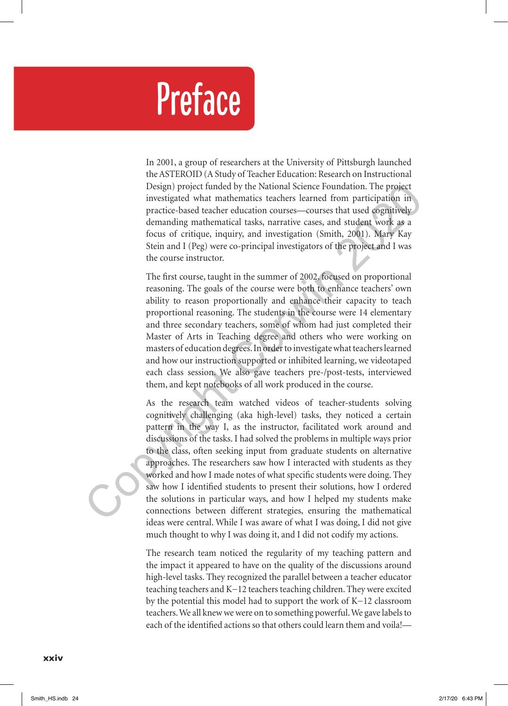## Preface

In 2001, a group of researchers at the University of Pittsburgh launched the ASTEROID (A Study of Teacher Education: Research on Instructional Design) project funded by the National Science Foundation. The project investigated what mathematics teachers learned from participation in practice-based teacher education courses—courses that used cognitively demanding mathematical tasks, narrative cases, and student work as a focus of critique, inquiry, and investigation (Smith, 2001). Mary Kay Stein and I (Peg) were co-principal investigators of the project and I was the course instructor.

The first course, taught in the summer of 2002, focused on proportional reasoning. The goals of the course were both to enhance teachers' own ability to reason proportionally and enhance their capacity to teach proportional reasoning. The students in the course were 14 elementary and three secondary teachers, some of whom had just completed their Master of Arts in Teaching degree and others who were working on masters of education degrees. In order to investigate what teachers learned and how our instruction supported or inhibited learning, we videotaped each class session. We also gave teachers pre-/post-tests, interviewed them, and kept notebooks of all work produced in the course.

As the research team watched videos of teacher-students solving cognitively challenging (aka high-level) tasks, they noticed a certain pattern in the way I, as the instructor, facilitated work around and discussions of the tasks. I had solved the problems in multiple ways prior to the class, often seeking input from graduate students on alternative approaches. The researchers saw how I interacted with students as they worked and how I made notes of what specific students were doing. They saw how I identified students to present their solutions, how I ordered the solutions in particular ways, and how I helped my students make connections between different strategies, ensuring the mathematical ideas were central. While I was aware of what I was doing, I did not give much thought to why I was doing it, and I did not codify my actions. Design) project funded by the National Science Foundation. The project materials and the matricipation in practice-based teacher education courses—courses that used osgnitively demanding mathematical tasks, narrative cases

> The research team noticed the regularity of my teaching pattern and the impact it appeared to have on the quality of the discussions around high-level tasks. They recognized the parallel between a teacher educator teaching teachers and K−12 teachers teaching children. They were excited by the potential this model had to support the work of K−12 classroom teachers. We all knew we were on to something powerful. We gave labels to each of the identified actions so that others could learn them and voila!—

## xxiv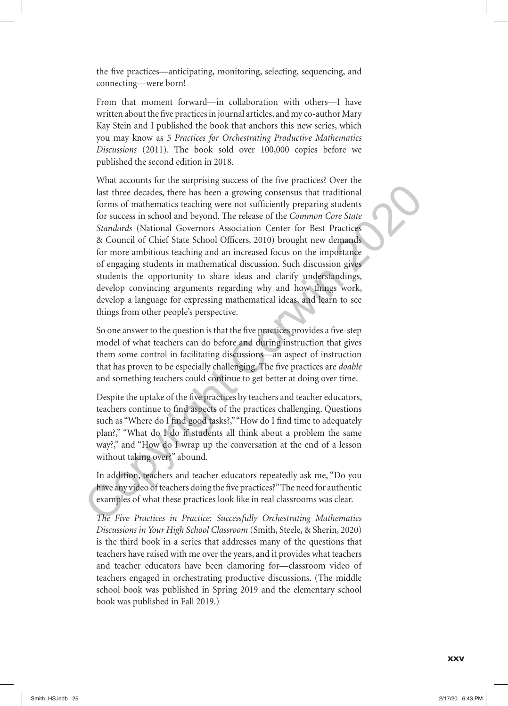the five practices—anticipating, monitoring, selecting, sequencing, and connecting—were born!

From that moment forward—in collaboration with others—I have written about the five practices in journal articles, and my co-author Mary Kay Stein and I published the book that anchors this new series, which you may know as *5 Practices for Orchestrating Productive Mathematics Discussions* (2011). The book sold over 100,000 copies before we published the second edition in 2018.

What accounts for the surprising success of the five practices? Over the last three decades, there has been a growing consensus that traditional forms of mathematics teaching were not sufficiently preparing students for success in school and beyond. The release of the *Common Core State Standards* (National Governors Association Center for Best Practices & Council of Chief State School Officers, 2010) brought new demands for more ambitious teaching and an increased focus on the importance of engaging students in mathematical discussion. Such discussion gives students the opportunity to share ideas and clarify understandings, develop convincing arguments regarding why and how things work, develop a language for expressing mathematical ideas, and learn to see things from other people's perspective. last three decades, there has been a growing consensus that traditional<br>forms of mathematics teaching were not sufficiently preparing students<br>for success in school and beyond. The release of the *Common Core State*<br>for s

So one answer to the question is that the five practices provides a five-step model of what teachers can do before and during instruction that gives them some control in facilitating discussions—an aspect of instruction that has proven to be especially challenging. The five practices are *doable* and something teachers could continue to get better at doing over time.

Despite the uptake of the five practices by teachers and teacher educators, teachers continue to find aspects of the practices challenging. Questions such as "Where do I find good tasks?," "How do I find time to adequately plan?," "What do I do if students all think about a problem the same way?," and "How do I wrap up the conversation at the end of a lesson without taking over?" abound.

In addition, teachers and teacher educators repeatedly ask me, "Do you have any video of teachers doing the five practices?" The need for authentic examples of what these practices look like in real classrooms was clear.

*The Five Practices in Practice: Successfully Orchestrating Mathematics Discussions in Your High School Classroom* (Smith, Steele, & Sherin, 2020) is the third book in a series that addresses many of the questions that teachers have raised with me over the years, and it provides what teachers and teacher educators have been clamoring for—classroom video of teachers engaged in orchestrating productive discussions. (The middle school book was published in Spring 2019 and the elementary school book was published in Fall 2019.)